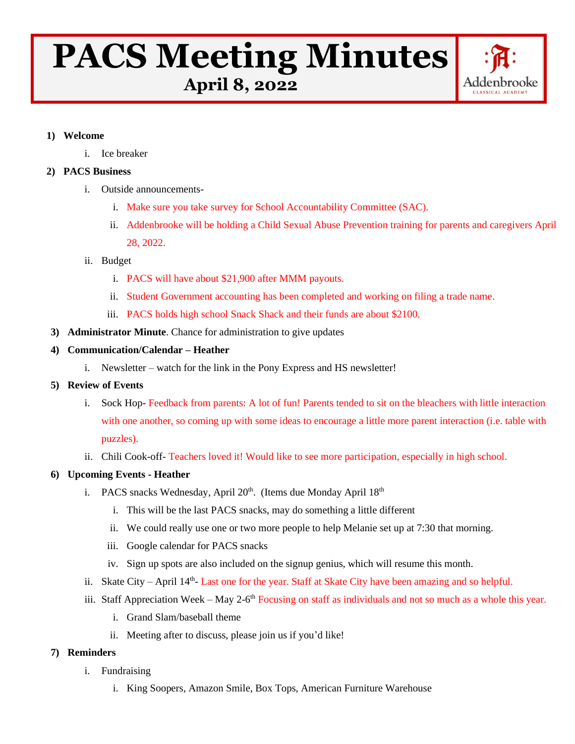# **PACS Meeting Minutes April 8, 2022**



#### **1) Welcome**

i. Ice breaker

# **2) PACS Business**

- i. Outside announcements
	- i. Make sure you take survey for School Accountability Committee (SAC).
	- ii. Addenbrooke will be holding a Child Sexual Abuse Prevention training for parents and caregivers April 28, 2022.
- ii. Budget
	- i. PACS will have about \$21,900 after MMM payouts.
	- ii. Student Government accounting has been completed and working on filing a trade name.
	- iii. PACS holds high school Snack Shack and their funds are about \$2100.
- **3) Administrator Minute**. Chance for administration to give updates

#### **4) Communication/Calendar – Heather**

- i. Newsletter watch for the link in the Pony Express and HS newsletter!
- **5) Review of Events**
	- i. Sock Hop- Feedback from parents: A lot of fun! Parents tended to sit on the bleachers with little interaction with one another, so coming up with some ideas to encourage a little more parent interaction (i.e. table with puzzles).
	- ii. Chili Cook-off- Teachers loved it! Would like to see more participation, especially in high school.

# **6) Upcoming Events - Heather**

- i. PACS snacks Wednesday, April  $20<sup>th</sup>$ . (Items due Monday April  $18<sup>th</sup>$ 
	- i. This will be the last PACS snacks, may do something a little different
	- ii. We could really use one or two more people to help Melanie set up at 7:30 that morning.
	- iii. Google calendar for PACS snacks
	- iv. Sign up spots are also included on the signup genius, which will resume this month.
- ii. Skate City April 14<sup>th</sup>- Last one for the year. Staff at Skate City have been amazing and so helpful.
- iii. Staff Appreciation Week May 2-6<sup>th</sup> Focusing on staff as individuals and not so much as a whole this year.
	- i. Grand Slam/baseball theme
	- ii. Meeting after to discuss, please join us if you'd like!

# **7) Reminders**

- i. Fundraising
	- i. King Soopers, Amazon Smile, Box Tops, American Furniture Warehouse